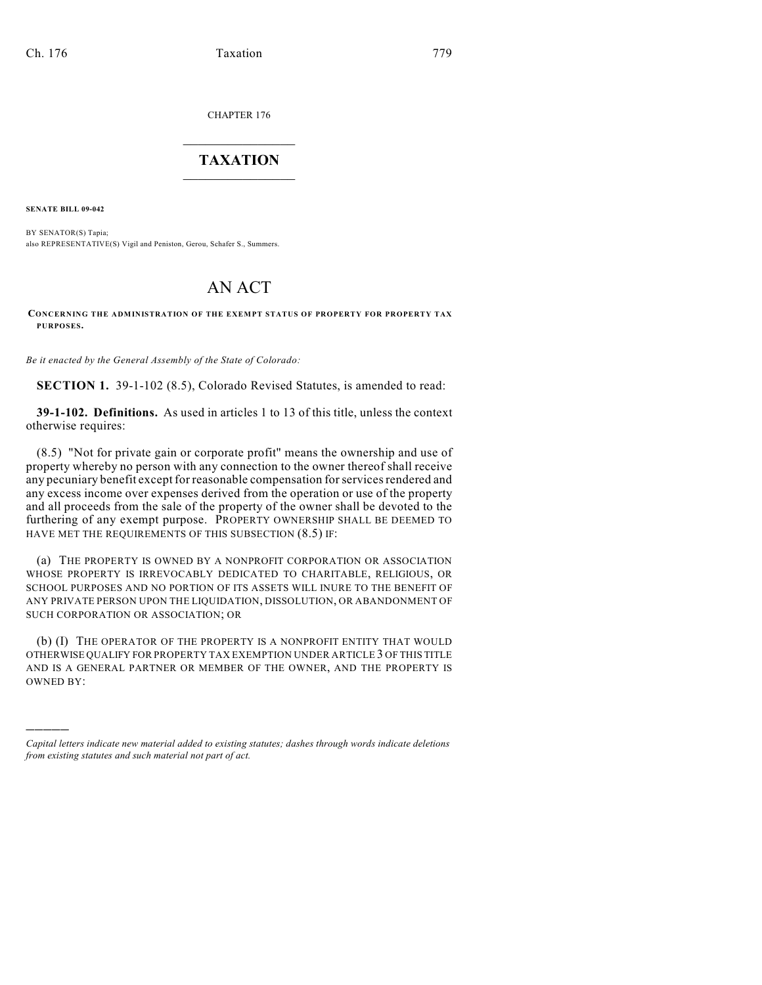CHAPTER 176

## $\mathcal{L}_\text{max}$  . The set of the set of the set of the set of the set of the set of the set of the set of the set of the set of the set of the set of the set of the set of the set of the set of the set of the set of the set **TAXATION**  $\_$

**SENATE BILL 09-042**

)))))

BY SENATOR(S) Tapia; also REPRESENTATIVE(S) Vigil and Peniston, Gerou, Schafer S., Summers.

# AN ACT

#### **CONCERNING THE ADMINISTRATION OF THE EXEMPT STATUS OF PROPERTY FOR PROPERTY TAX PURPOSES.**

*Be it enacted by the General Assembly of the State of Colorado:*

**SECTION 1.** 39-1-102 (8.5), Colorado Revised Statutes, is amended to read:

**39-1-102. Definitions.** As used in articles 1 to 13 of this title, unless the context otherwise requires:

(8.5) "Not for private gain or corporate profit" means the ownership and use of property whereby no person with any connection to the owner thereof shall receive any pecuniary benefit except for reasonable compensation for services rendered and any excess income over expenses derived from the operation or use of the property and all proceeds from the sale of the property of the owner shall be devoted to the furthering of any exempt purpose. PROPERTY OWNERSHIP SHALL BE DEEMED TO HAVE MET THE REQUIREMENTS OF THIS SUBSECTION (8.5) IF:

(a) THE PROPERTY IS OWNED BY A NONPROFIT CORPORATION OR ASSOCIATION WHOSE PROPERTY IS IRREVOCABLY DEDICATED TO CHARITABLE, RELIGIOUS, OR SCHOOL PURPOSES AND NO PORTION OF ITS ASSETS WILL INURE TO THE BENEFIT OF ANY PRIVATE PERSON UPON THE LIQUIDATION, DISSOLUTION, OR ABANDONMENT OF SUCH CORPORATION OR ASSOCIATION; OR

(b) (I) THE OPERATOR OF THE PROPERTY IS A NONPROFIT ENTITY THAT WOULD OTHERWISE QUALIFY FOR PROPERTY TAX EXEMPTION UNDER ARTICLE 3 OF THIS TITLE AND IS A GENERAL PARTNER OR MEMBER OF THE OWNER, AND THE PROPERTY IS OWNED BY:

*Capital letters indicate new material added to existing statutes; dashes through words indicate deletions from existing statutes and such material not part of act.*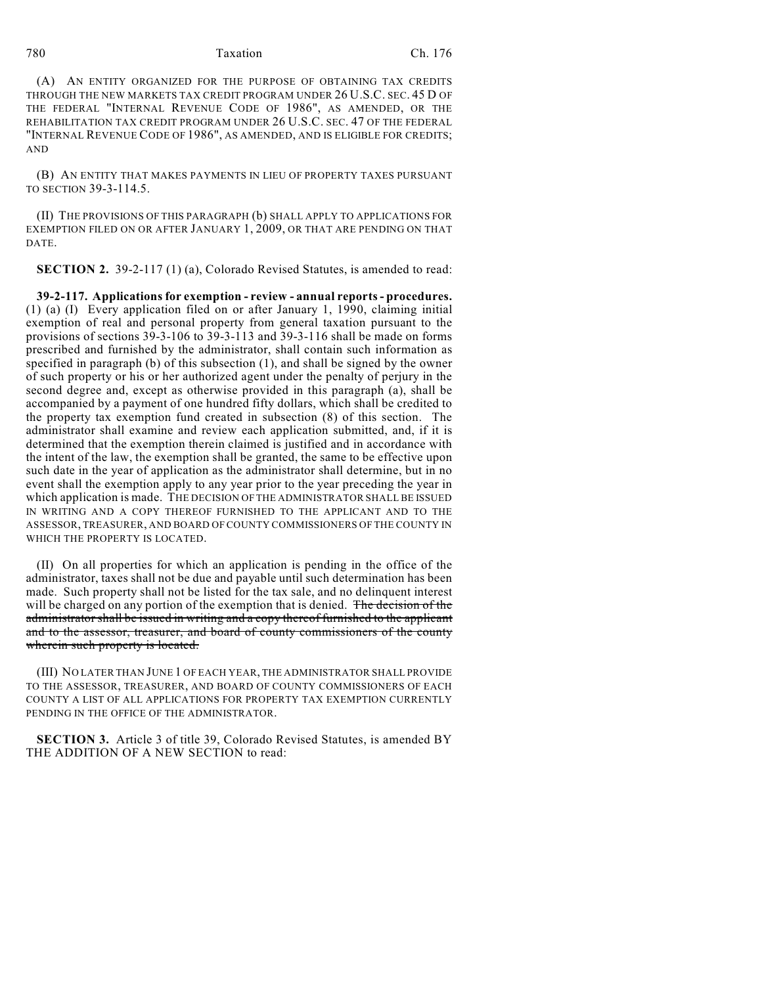#### 780 Taxation Ch. 176

(A) AN ENTITY ORGANIZED FOR THE PURPOSE OF OBTAINING TAX CREDITS THROUGH THE NEW MARKETS TAX CREDIT PROGRAM UNDER 26 U.S.C. SEC. 45 D OF THE FEDERAL "INTERNAL REVENUE CODE OF 1986", AS AMENDED, OR THE REHABILITATION TAX CREDIT PROGRAM UNDER 26 U.S.C. SEC. 47 OF THE FEDERAL "INTERNAL REVENUE CODE OF 1986", AS AMENDED, AND IS ELIGIBLE FOR CREDITS; AND

(B) AN ENTITY THAT MAKES PAYMENTS IN LIEU OF PROPERTY TAXES PURSUANT TO SECTION 39-3-114.5.

(II) THE PROVISIONS OF THIS PARAGRAPH (b) SHALL APPLY TO APPLICATIONS FOR EXEMPTION FILED ON OR AFTER JANUARY 1, 2009, OR THAT ARE PENDING ON THAT DATE.

**SECTION 2.** 39-2-117 (1) (a), Colorado Revised Statutes, is amended to read:

**39-2-117. Applications for exemption - review - annual reports - procedures.** (1) (a) (I) Every application filed on or after January 1, 1990, claiming initial exemption of real and personal property from general taxation pursuant to the provisions of sections 39-3-106 to 39-3-113 and 39-3-116 shall be made on forms prescribed and furnished by the administrator, shall contain such information as specified in paragraph (b) of this subsection (1), and shall be signed by the owner of such property or his or her authorized agent under the penalty of perjury in the second degree and, except as otherwise provided in this paragraph (a), shall be accompanied by a payment of one hundred fifty dollars, which shall be credited to the property tax exemption fund created in subsection (8) of this section. The administrator shall examine and review each application submitted, and, if it is determined that the exemption therein claimed is justified and in accordance with the intent of the law, the exemption shall be granted, the same to be effective upon such date in the year of application as the administrator shall determine, but in no event shall the exemption apply to any year prior to the year preceding the year in which application is made. THE DECISION OF THE ADMINISTRATOR SHALL BE ISSUED IN WRITING AND A COPY THEREOF FURNISHED TO THE APPLICANT AND TO THE ASSESSOR, TREASURER, AND BOARD OF COUNTY COMMISSIONERS OF THE COUNTY IN WHICH THE PROPERTY IS LOCATED.

(II) On all properties for which an application is pending in the office of the administrator, taxes shall not be due and payable until such determination has been made. Such property shall not be listed for the tax sale, and no delinquent interest will be charged on any portion of the exemption that is denied. The decision of the administrator shall be issued in writing and a copy thereof furnished to the applicant and to the assessor, treasurer, and board of county commissioners of the county wherein such property is located.

(III) NO LATER THAN JUNE 1 OF EACH YEAR, THE ADMINISTRATOR SHALL PROVIDE TO THE ASSESSOR, TREASURER, AND BOARD OF COUNTY COMMISSIONERS OF EACH COUNTY A LIST OF ALL APPLICATIONS FOR PROPERTY TAX EXEMPTION CURRENTLY PENDING IN THE OFFICE OF THE ADMINISTRATOR.

**SECTION 3.** Article 3 of title 39, Colorado Revised Statutes, is amended BY THE ADDITION OF A NEW SECTION to read: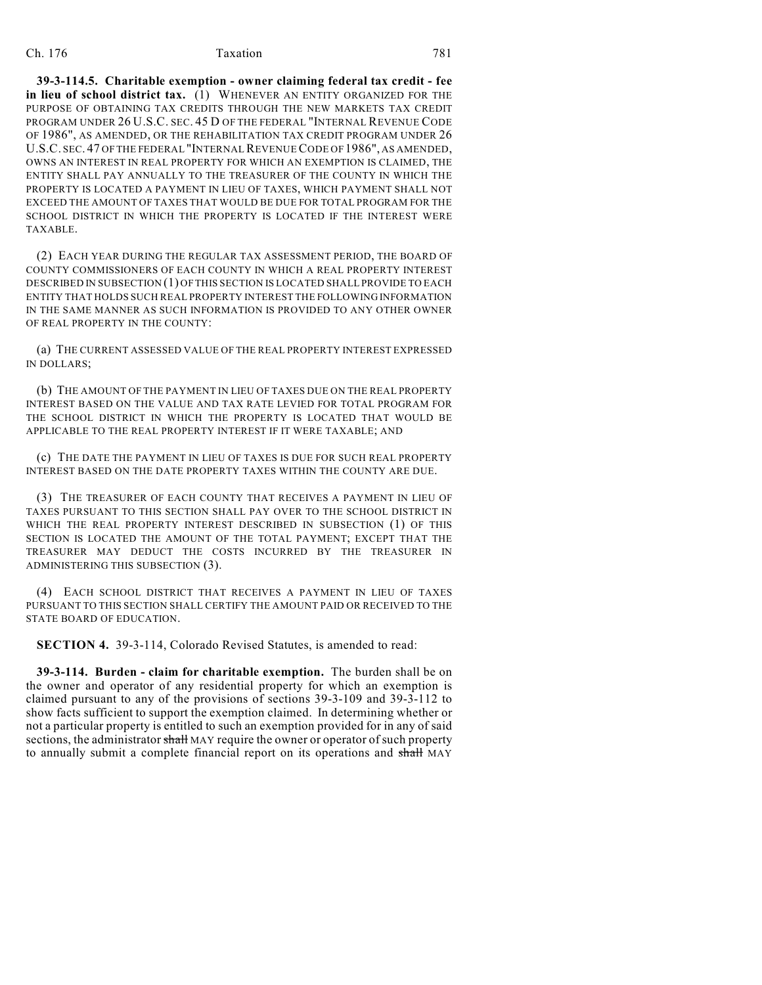### Ch. 176 **Taxation** 781

**39-3-114.5. Charitable exemption - owner claiming federal tax credit - fee in lieu of school district tax.** (1) WHENEVER AN ENTITY ORGANIZED FOR THE PURPOSE OF OBTAINING TAX CREDITS THROUGH THE NEW MARKETS TAX CREDIT PROGRAM UNDER 26 U.S.C. SEC. 45 D OF THE FEDERAL "INTERNAL REVENUE CODE OF 1986", AS AMENDED, OR THE REHABILITATION TAX CREDIT PROGRAM UNDER 26 U.S.C. SEC. 47 OF THE FEDERAL "INTERNAL REVENUE CODE OF 1986", AS AMENDED, OWNS AN INTEREST IN REAL PROPERTY FOR WHICH AN EXEMPTION IS CLAIMED, THE ENTITY SHALL PAY ANNUALLY TO THE TREASURER OF THE COUNTY IN WHICH THE PROPERTY IS LOCATED A PAYMENT IN LIEU OF TAXES, WHICH PAYMENT SHALL NOT EXCEED THE AMOUNT OF TAXES THAT WOULD BE DUE FOR TOTAL PROGRAM FOR THE SCHOOL DISTRICT IN WHICH THE PROPERTY IS LOCATED IF THE INTEREST WERE TAXABLE.

(2) EACH YEAR DURING THE REGULAR TAX ASSESSMENT PERIOD, THE BOARD OF COUNTY COMMISSIONERS OF EACH COUNTY IN WHICH A REAL PROPERTY INTEREST DESCRIBED IN SUBSECTION (1) OF THIS SECTION IS LOCATED SHALL PROVIDE TO EACH ENTITY THAT HOLDS SUCH REAL PROPERTY INTEREST THE FOLLOWING INFORMATION IN THE SAME MANNER AS SUCH INFORMATION IS PROVIDED TO ANY OTHER OWNER OF REAL PROPERTY IN THE COUNTY:

(a) THE CURRENT ASSESSED VALUE OF THE REAL PROPERTY INTEREST EXPRESSED IN DOLLARS;

(b) THE AMOUNT OF THE PAYMENT IN LIEU OF TAXES DUE ON THE REAL PROPERTY INTEREST BASED ON THE VALUE AND TAX RATE LEVIED FOR TOTAL PROGRAM FOR THE SCHOOL DISTRICT IN WHICH THE PROPERTY IS LOCATED THAT WOULD BE APPLICABLE TO THE REAL PROPERTY INTEREST IF IT WERE TAXABLE; AND

(c) THE DATE THE PAYMENT IN LIEU OF TAXES IS DUE FOR SUCH REAL PROPERTY INTEREST BASED ON THE DATE PROPERTY TAXES WITHIN THE COUNTY ARE DUE.

(3) THE TREASURER OF EACH COUNTY THAT RECEIVES A PAYMENT IN LIEU OF TAXES PURSUANT TO THIS SECTION SHALL PAY OVER TO THE SCHOOL DISTRICT IN WHICH THE REAL PROPERTY INTEREST DESCRIBED IN SUBSECTION (1) OF THIS SECTION IS LOCATED THE AMOUNT OF THE TOTAL PAYMENT; EXCEPT THAT THE TREASURER MAY DEDUCT THE COSTS INCURRED BY THE TREASURER IN ADMINISTERING THIS SUBSECTION (3).

(4) EACH SCHOOL DISTRICT THAT RECEIVES A PAYMENT IN LIEU OF TAXES PURSUANT TO THIS SECTION SHALL CERTIFY THE AMOUNT PAID OR RECEIVED TO THE STATE BOARD OF EDUCATION.

**SECTION 4.** 39-3-114, Colorado Revised Statutes, is amended to read:

**39-3-114. Burden - claim for charitable exemption.** The burden shall be on the owner and operator of any residential property for which an exemption is claimed pursuant to any of the provisions of sections 39-3-109 and 39-3-112 to show facts sufficient to support the exemption claimed. In determining whether or not a particular property is entitled to such an exemption provided for in any of said sections, the administrator shall MAY require the owner or operator of such property to annually submit a complete financial report on its operations and shall MAY